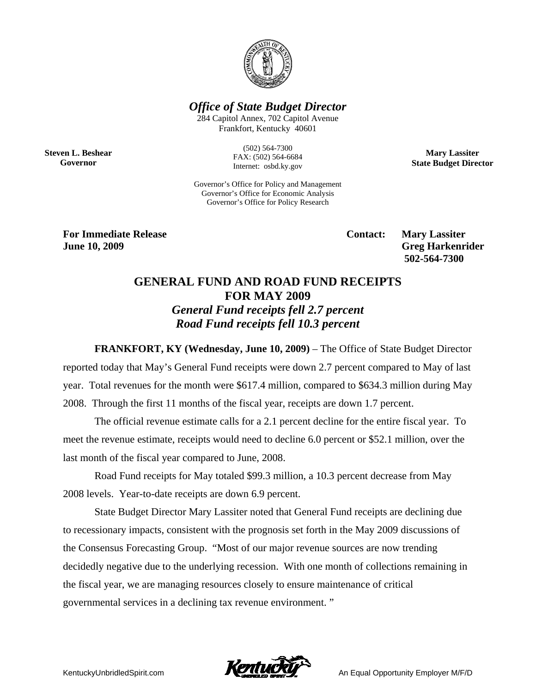

*Office of State Budget Director* 

284 Capitol Annex, 702 Capitol Avenue Frankfort, Kentucky 40601

**Steven L. Beshear Governor** 

(502) 564-7300 FAX: (502) 564-6684 Internet: osbd.ky.gov

**Mary Lassiter State Budget Director** 

Governor's Office for Policy and Management Governor's Office for Economic Analysis Governor's Office for Policy Research

**For Immediate Release Service Service Service Contact: Mary Lassiter June 10, 2009** Greg Harkenrider **Greg Harkenrider Greg Harkenrider Greg Harkenrider** 

 **502-564-7300** 

## **GENERAL FUND AND ROAD FUND RECEIPTS FOR MAY 2009**  *General Fund receipts fell 2.7 percent Road Fund receipts fell 10.3 percent*

**FRANKFORT, KY (Wednesday, June 10, 2009)** – The Office of State Budget Director reported today that May's General Fund receipts were down 2.7 percent compared to May of last year. Total revenues for the month were \$617.4 million, compared to \$634.3 million during May 2008. Through the first 11 months of the fiscal year, receipts are down 1.7 percent.

The official revenue estimate calls for a 2.1 percent decline for the entire fiscal year. To meet the revenue estimate, receipts would need to decline 6.0 percent or \$52.1 million, over the last month of the fiscal year compared to June, 2008.

Road Fund receipts for May totaled \$99.3 million, a 10.3 percent decrease from May 2008 levels. Year-to-date receipts are down 6.9 percent.

State Budget Director Mary Lassiter noted that General Fund receipts are declining due to recessionary impacts, consistent with the prognosis set forth in the May 2009 discussions of the Consensus Forecasting Group. "Most of our major revenue sources are now trending decidedly negative due to the underlying recession. With one month of collections remaining in the fiscal year, we are managing resources closely to ensure maintenance of critical governmental services in a declining tax revenue environment. "

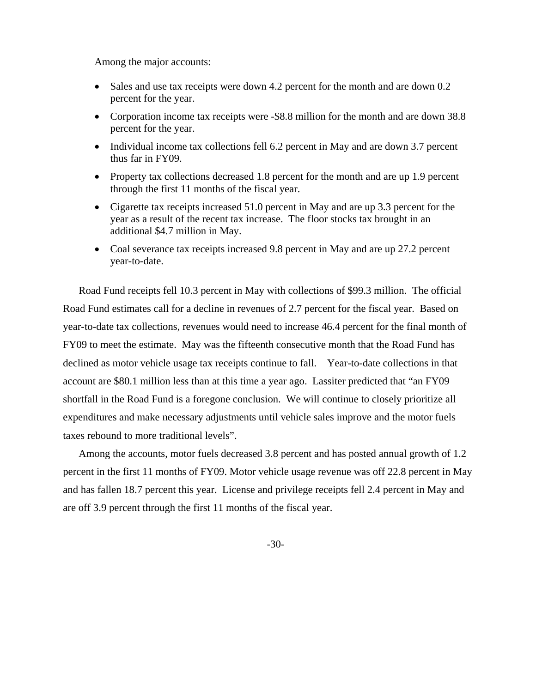Among the major accounts:

- Sales and use tax receipts were down 4.2 percent for the month and are down 0.2 percent for the year.
- Corporation income tax receipts were -\$8.8 million for the month and are down 38.8 percent for the year.
- Individual income tax collections fell 6.2 percent in May and are down 3.7 percent thus far in FY09.
- Property tax collections decreased 1.8 percent for the month and are up 1.9 percent through the first 11 months of the fiscal year.
- Cigarette tax receipts increased 51.0 percent in May and are up 3.3 percent for the year as a result of the recent tax increase. The floor stocks tax brought in an additional \$4.7 million in May.
- Coal severance tax receipts increased 9.8 percent in May and are up 27.2 percent year-to-date.

Road Fund receipts fell 10.3 percent in May with collections of \$99.3 million. The official Road Fund estimates call for a decline in revenues of 2.7 percent for the fiscal year. Based on year-to-date tax collections, revenues would need to increase 46.4 percent for the final month of FY09 to meet the estimate. May was the fifteenth consecutive month that the Road Fund has declined as motor vehicle usage tax receipts continue to fall. Year-to-date collections in that account are \$80.1 million less than at this time a year ago. Lassiter predicted that "an FY09 shortfall in the Road Fund is a foregone conclusion. We will continue to closely prioritize all expenditures and make necessary adjustments until vehicle sales improve and the motor fuels taxes rebound to more traditional levels".

Among the accounts, motor fuels decreased 3.8 percent and has posted annual growth of 1.2 percent in the first 11 months of FY09. Motor vehicle usage revenue was off 22.8 percent in May and has fallen 18.7 percent this year. License and privilege receipts fell 2.4 percent in May and are off 3.9 percent through the first 11 months of the fiscal year.

-30-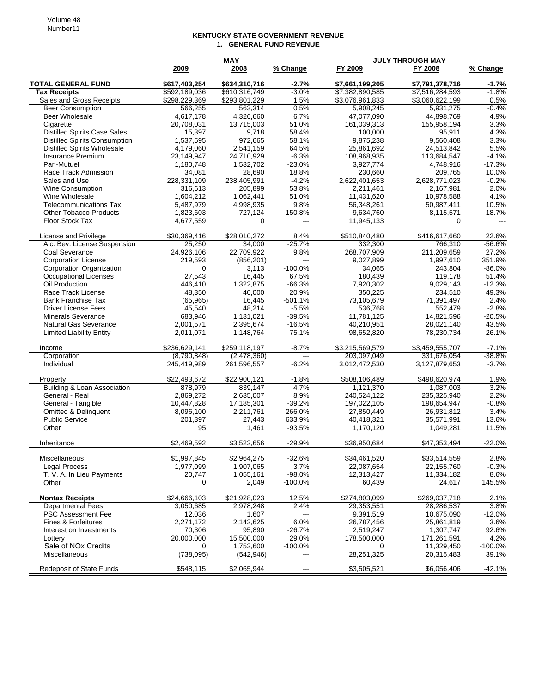## **KENTUCKY STATE GOVERNMENT REVENUE 1. GENERAL FUND REVENUE**

|                                        |                          | <b>MAY</b><br><b>JULY THROUGH MAY</b> |                      |                            |                            |                |
|----------------------------------------|--------------------------|---------------------------------------|----------------------|----------------------------|----------------------------|----------------|
|                                        | 2009                     | 2008                                  | % Change             | FY 2009                    | FY 2008                    | % Change       |
| <b>TOTAL GENERAL FUND</b>              | \$617,403,254            | \$634,310,716                         | $-2.7%$              | \$7,661,199,205            | \$7,791,378,716            | $-1.7%$        |
| <b>Tax Receipts</b>                    | \$592,189,036            | \$610,316,749                         | $-3.0%$              | \$7,382,890,585            | \$7,516,284,593            | $-1.8%$        |
| Sales and Gross Receipts               | \$298,229,369            | \$293,801,229                         | 1.5%                 | \$3,076,961,833            | \$3,060,622,199            | 0.5%           |
| <b>Beer Consumption</b>                | 566,255                  | 563,314                               | 0.5%                 | 5,908,245                  | 5,931,275                  | $-0.4%$        |
| <b>Beer Wholesale</b>                  | 4,617,178                | 4,326,660                             | 6.7%                 | 47.077.090                 | 44,898,769                 | 4.9%           |
| Cigarette                              | 20,708,031               | 13,715,003                            | 51.0%                | 161,039,313                | 155,958,194                | 3.3%           |
| <b>Distilled Spirits Case Sales</b>    | 15,397                   | 9,718                                 | 58.4%                | 100,000                    | 95,911                     | 4.3%           |
| <b>Distilled Spirits Consumption</b>   | 1,537,595                | 972,665                               | 58.1%                | 9,875,238                  | 9,560,408                  | 3.3%           |
| <b>Distilled Spirits Wholesale</b>     | 4,179,060                | 2,541,159                             | 64.5%                | 25,861,692                 | 24,513,842                 | 5.5%           |
| Insurance Premium                      | 23,149,947               | 24,710,929                            | $-6.3%$              | 108,968,935                | 113,684,547                | $-4.1%$        |
| Pari-Mutuel                            | 1,180,748                | 1,532,702                             | $-23.0%$             | 3,927,774                  | 4,748,916                  | $-17.3%$       |
| Race Track Admission                   | 34,081                   | 28.690                                | 18.8%                | 230,660                    | 209,765                    | 10.0%          |
| Sales and Use                          | 228,331,109              | 238,405,991                           | $-4.2%$              | 2,622,401,653              | 2,628,771,023              | $-0.2%$        |
| <b>Wine Consumption</b>                | 316,613                  | 205,899                               | 53.8%                | 2,211,461                  | 2,167,981                  | 2.0%           |
| Wine Wholesale                         | 1,604,212                | 1,062,441                             | 51.0%                | 11,431,620                 | 10,978,588                 | 4.1%           |
| <b>Telecommunications Tax</b>          | 5,487,979                | 4,998,935                             | 9.8%                 | 56,348,261                 | 50,987,411                 | 10.5%          |
| <b>Other Tobacco Products</b>          | 1,823,603                | 727,124                               | 150.8%               | 9,634,760                  | 8,115,571                  | 18.7%          |
| Floor Stock Tax                        | 4,677,559                | 0                                     | $\overline{a}$       | 11,945,133                 | $\Omega$                   | $\overline{a}$ |
|                                        |                          |                                       |                      |                            |                            |                |
| License and Privilege                  | \$30,369,416             | \$28,010,272                          | 8.4%                 | \$510,840,480              | \$416,617,660              | 22.6%          |
| Alc. Bev. License Suspension           | 25,250                   | 34,000                                | $-25.7%$             | 332,300                    | 766,310                    | $-56.6%$       |
| Coal Severance                         | 24,926,106               | 22,709,922                            | 9.8%                 | 268,707,909                | 211,209,659                | 27.2%          |
| <b>Corporation License</b>             | 219,593                  | (856, 201)                            | ---                  | 9,027,899                  | 1,997,610                  | 351.9%         |
| Corporation Organization               | 0                        | 3,113                                 | $-100.0%$            | 34,065                     | 243,804                    | $-86.0%$       |
| Occupational Licenses                  | 27,543                   | 16,445                                | 67.5%                | 180,439                    | 119,178                    | 51.4%          |
| Oil Production                         | 446,410                  | 1,322,875                             | $-66.3%$             | 7,920,302                  | 9,029,143                  | $-12.3%$       |
| Race Track License                     | 48,350                   | 40,000                                | 20.9%                | 350,225                    | 234,510                    | 49.3%          |
| <b>Bank Franchise Tax</b>              | (65, 965)                | 16,445                                | $-501.1%$            | 73,105,679                 | 71,391,497                 | 2.4%           |
| <b>Driver License Fees</b>             | 45,540                   | 48,214                                | $-5.5%$              | 536,768                    | 552,479                    | $-2.8%$        |
| <b>Minerals Severance</b>              | 683,946                  | 1,131,021                             | $-39.5%$             | 11,781,125                 | 14,821,596                 | $-20.5%$       |
| Natural Gas Severance                  | 2,001,571                | 2,395,674                             | $-16.5%$             | 40,210,951                 | 28,021,140                 | 43.5%          |
| <b>Limited Liability Entity</b>        | 2,011,071                | 1,148,764                             | 75.1%                | 98,652,820                 | 78,230,734                 | 26.1%          |
|                                        | \$236,629,141            | \$259,118,197                         | $-8.7%$              | \$3,215,569,579            | \$3,459,555,707            | $-7.1%$        |
| Income<br>Corporation                  | (8,790,848)              | (2,478,360)                           | ---                  | 203,097,049                | 331,676,054                | -38.8%         |
| Individual                             | 245,419,989              | 261,596,557                           | $-6.2%$              | 3,012,472,530              | 3,127,879,653              | $-3.7%$        |
|                                        |                          |                                       |                      |                            |                            |                |
| Property                               | \$22,493,672             | \$22,900,121                          | $-1.8%$              | \$508,106,489              | \$498,620,974              | 1.9%           |
| <b>Building &amp; Loan Association</b> | 878,979                  | 839,147                               | 4.7%                 | 1,121,370                  | 1,087,003                  | 3.2%           |
| General - Real                         | 2,869,272                | 2,635,007                             | 8.9%                 | 240.524.122                | 235,325,940                | 2.2%           |
| General - Tangible                     | 10,447,828               | 17,185,301                            | $-39.2%$             | 197,022,105                | 198,654,947                | $-0.8%$        |
| Omitted & Delinquent                   | 8,096,100                | 2,211,761                             | 266.0%               | 27,850,449                 | 26,931,812                 | 3.4%           |
| <b>Public Service</b>                  | 201,397                  | 27,443                                | 633.9%               | 40,418,321                 | 35,571,991                 | 13.6%          |
| Other                                  | 95                       | 1,461                                 | $-93.5%$             | 1,170,120                  | 1,049,281                  | 11.5%          |
| Inheritance                            | \$2,469,592              | \$3,522,656                           | $-29.9%$             | \$36,950,684               | \$47,353,494               | $-22.0%$       |
|                                        |                          |                                       |                      |                            |                            |                |
| Miscellaneous<br><b>Legal Process</b>  | \$1,997,845<br>1,977,099 | \$2,964,275<br>1,907,065              | $-32.6%$<br>3.7%     | \$34,461,520<br>22,087,654 | \$33,514,559<br>22,155,760 | 2.8%<br>-0.3%  |
| T. V. A. In Lieu Payments              | 20,747                   | 1,055,161                             | $-98.0%$             | 12,313,427                 | 11,334,182                 | 8.6%           |
| Other                                  | 0                        | 2,049                                 | $-100.0%$            | 60,439                     | 24,617                     | 145.5%         |
|                                        |                          |                                       |                      |                            |                            |                |
| <b>Nontax Receipts</b>                 | \$24,666,103             | \$21,928,023                          | 12.5%                | \$274,803,099              | \$269,037,718              | 2.1%           |
| <b>Departmental Fees</b>               | 3,050,685                | 2,978,248                             | 2.4%                 | 29,353,551                 | 28,286,537                 | 3.8%           |
| <b>PSC Assessment Fee</b>              | 12,036                   | 1,607                                 | ---                  | 9,391,519                  | 10,675,090                 | -12.0%         |
| Fines & Forfeitures                    | 2,271,172                | 2,142,625                             | 6.0%                 | 26,787,456                 | 25,861,819                 | 3.6%           |
| Interest on Investments                | 70,306                   | 95,890                                | $-26.7%$             | 2,519,247                  | 1,307,747                  | 92.6%          |
| Lottery                                | 20,000,000               | 15,500,000                            | 29.0%                | 178,500,000                | 171,261,591                | 4.2%           |
| Sale of NO <sub>x</sub> Credits        | 0                        | 1,752,600                             | $-100.0\%$           | 0                          | 11,329,450                 | $-100.0%$      |
| Miscellaneous                          | (738,095)                | (542, 946)                            | ---                  | 28,251,325                 | 20,315,483                 | 39.1%          |
| <b>Redeposit of State Funds</b>        | \$548,115                | \$2,065,944                           | $\scriptstyle\cdots$ | \$3,505,521                | \$6,056,406                | $-42.1%$       |
|                                        |                          |                                       |                      |                            |                            |                |